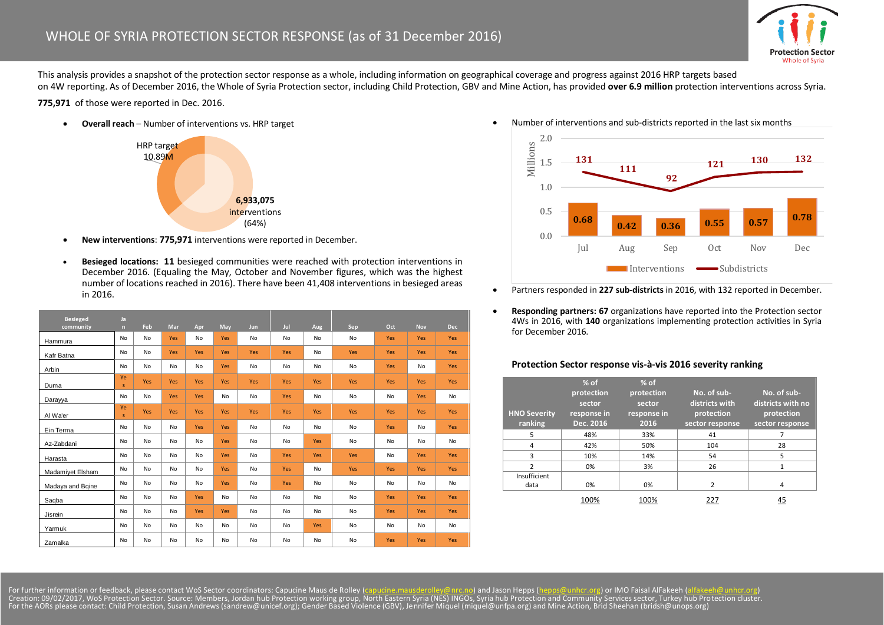

This analysis provides a snapshot of the protection sector response as a whole, including information on geographical coverage and progress against 2016 HRP targets based on 4W reporting. As of December 2016, the Whole of Syria Protection sector, including Child Protection, GBV and Mine Action, has provided **over 6.9 million** protection interventions across Syria.

**775,971** of those were reported in Dec. 2016.

**Overall reach** – Number of interventions vs. HRP target



- **New interventions**: **775,971** interventions were reported in December.
- **Besieged locations: 11** besieged communities were reached with protection interventions in December 2016. (Equaling the May, October and November figures, which was the highest number of locations reached in 2016). There have been 41,408 interventions in besieged areas in 2016.

| <b>Besieged</b><br>community | Ja<br>n   | Feb       | Mar | Apr        | May | Jun | Jul       | Aug       | Sep       | Oct       | <b>Nov</b> | <b>Dec</b> |
|------------------------------|-----------|-----------|-----|------------|-----|-----|-----------|-----------|-----------|-----------|------------|------------|
| Hammura                      | No        | <b>No</b> | Yes | No         | Yes | No  | No        | <b>No</b> | <b>No</b> | Yes       | Yes        | Yes        |
| Kafr Batna                   | No        | No        | Yes | Yes        | Yes | Yes | Yes       | <b>No</b> | Yes       | Yes       | Yes        | Yes        |
| Arbin                        | No        | No        | No  | No         | Yes | No  | No        | <b>No</b> | No        | Yes       | No         | Yes        |
| Duma                         | Ye<br>s.  | Yes       | Yes | Yes        | Yes | Yes | Yes       | Yes       | Yes       | Yes       | Yes        | Yes        |
| Darayya                      | No        | <b>No</b> | Yes | Yes        | No  | No  | Yes       | <b>No</b> | No        | No        | Yes        | No         |
| Al Wa'er                     | Ye<br>s.  | Yes       | Yes | Yes        | Yes | Yes | Yes       | Yes       | Yes       | Yes       | Yes        | Yes        |
| Ein Terma                    | No        | <b>No</b> | No  | Yes        | Yes | No  | No        | <b>No</b> | No        | Yes       | No         | Yes        |
| Az-Zabdani                   | No        | <b>No</b> | No  | No         | Yes | No  | No        | Yes       | No        | No        | No         | No         |
| Harasta                      | <b>No</b> | No        | No  | No         | Yes | No  | Yes       | Yes       | Yes       | <b>No</b> | Yes        | Yes        |
| Madamiyet Elsham             | <b>No</b> | <b>No</b> | No  | No         | Yes | No  | Yes       | <b>No</b> | Yes       | Yes       | Yes        | Yes        |
| Madaya and Bqine             | No        | <b>No</b> | No  | No         | Yes | No  | Yes       | <b>No</b> | No        | No        | No         | No         |
| Saqba                        | No        | No        | No  | Yes        | No  | No  | <b>No</b> | <b>No</b> | <b>No</b> | Yes       | Yes        | Yes        |
| Jisrein                      | No        | No        | No  | <b>Yes</b> | Yes | No  | No        | No        | No        | Yes       | <b>Yes</b> | Yes        |
| Yarmuk                       | No        | No        | No  | No         | No  | No  | No        | Yes       | No        | No        | No         | No         |
| Zamalka                      | No        | No        | No  | No         | No  | No  | No        | No        | No        | Yes       | <b>Yes</b> | <b>Yes</b> |

Number of interventions and sub-districts reported in the last six months



- Partners responded in **227 sub-districts** in 2016, with 132 reported in December.
- **Responding partners: 67** organizations have reported into the Protection sector 4Ws in 2016, with **140** organizations implementing protection activities in Syria for December 2016.

## **Protection Sector response vis-à-vis 2016 severity ranking**

| <b>HNO Severity</b><br>ranking | $%$ of<br>protection<br>sector<br>response in<br>Dec. 2016 | $%$ of<br>protection<br>sector<br>response in<br>2016 | No. of sub-<br>districts with<br>protection<br>sector response | No. of sub-<br>districts with no<br>protection<br>sector response |
|--------------------------------|------------------------------------------------------------|-------------------------------------------------------|----------------------------------------------------------------|-------------------------------------------------------------------|
| 5                              | 48%                                                        | 33%                                                   | 41                                                             |                                                                   |
| 4                              | 42%                                                        | 50%                                                   | 104                                                            | 28                                                                |
| 3                              | 10%                                                        | 14%                                                   | 54                                                             | 5                                                                 |
| $\mathcal{P}$                  | 0%                                                         | 3%                                                    | 26                                                             | 1                                                                 |
| Insufficient                   |                                                            |                                                       |                                                                |                                                                   |
| data                           | 0%                                                         | 0%                                                    | $\overline{2}$                                                 | 4                                                                 |
|                                | 100%                                                       | 100%                                                  | 227                                                            | 45                                                                |

For further information or feedback, please contact WoS Sector coordinators: Capucine Maus de Rolley (<u>capucine mausderolley@nrc.no</u>) and Jason Hepps (<u>hepps@unhcr.org</u>) or IMO Faisal AlFakeeh [\(alfakeeh@unhcr.org\)](mailto:alfakeeh@unhcr.org)<br>Creation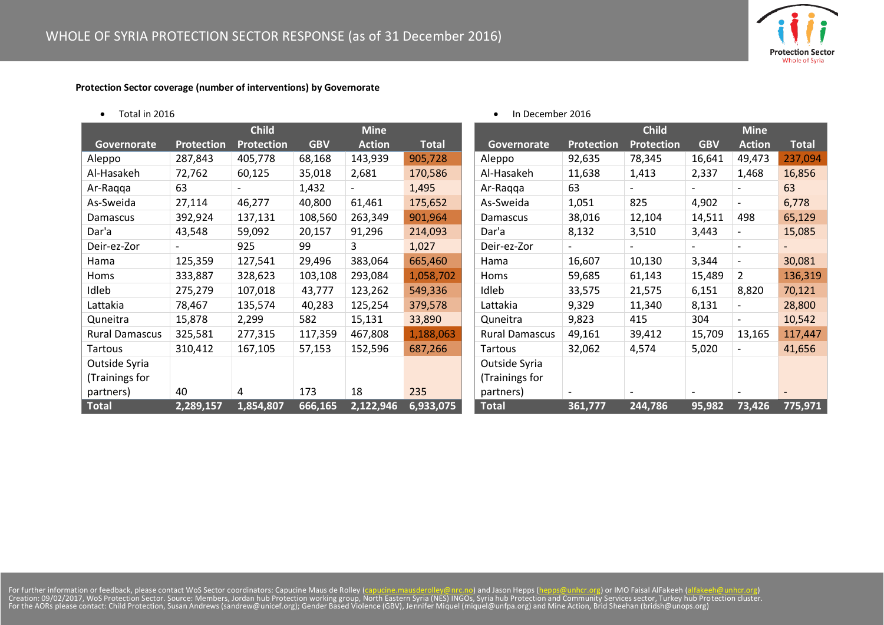**Protection Sector** Whole of Syria

## **Protection Sector coverage (number of interventions) by Governorate**

|  | Total in 2016 |
|--|---------------|
|--|---------------|

|                       |            | <b>Child</b>      |            | <b>Mine</b>   |              |                       |                          | <b>Child</b>      |            | <b>Mine</b>              |              |
|-----------------------|------------|-------------------|------------|---------------|--------------|-----------------------|--------------------------|-------------------|------------|--------------------------|--------------|
| Governorate           | Protection | <b>Protection</b> | <b>GBV</b> | <b>Action</b> | <b>Total</b> | Governorate           | Protection               | <b>Protection</b> | <b>GBV</b> | <b>Action</b>            | <b>Total</b> |
| Aleppo                | 287,843    | 405,778           | 68,168     | 143,939       | 905,728      | Aleppo                | 92,635                   | 78,345            | 16,641     | 49,473                   | 237,094      |
| Al-Hasakeh            | 72,762     | 60,125            | 35,018     | 2,681         | 170,586      | Al-Hasakeh            | 11,638                   | 1,413             | 2,337      | 1,468                    | 16,856       |
| Ar-Raqqa              | 63         |                   | 1,432      |               | 1,495        | Ar-Ragga              | 63                       |                   |            |                          | 63           |
| As-Sweida             | 27,114     | 46,277            | 40,800     | 61,461        | 175,652      | As-Sweida             | 1,051                    | 825               | 4,902      | $\overline{\phantom{0}}$ | 6,778        |
| Damascus              | 392,924    | 137,131           | 108,560    | 263,349       | 901,964      | Damascus              | 38,016                   | 12,104            | 14,511     | 498                      | 65,129       |
| Dar'a                 | 43,548     | 59,092            | 20,157     | 91,296        | 214,093      | Dar'a                 | 8,132                    | 3,510             | 3,443      | $\overline{\phantom{a}}$ | 15,085       |
| Deir-ez-Zor           |            | 925               | 99         | 3             | 1,027        | Deir-ez-Zor           | $\overline{\phantom{0}}$ |                   |            | $\overline{\phantom{a}}$ |              |
| Hama                  | 125,359    | 127,541           | 29,496     | 383,064       | 665,460      | Hama                  | 16,607                   | 10,130            | 3,344      | $\overline{\phantom{a}}$ | 30,081       |
| Homs                  | 333,887    | 328,623           | 103,108    | 293,084       | 1,058,702    | Homs                  | 59,685                   | 61,143            | 15,489     | $\overline{2}$           | 136,319      |
| Idleb                 | 275,279    | 107,018           | 43,777     | 123,262       | 549,336      | Idleb                 | 33,575                   | 21,575            | 6,151      | 8,820                    | 70,121       |
| Lattakia              | 78,467     | 135,574           | 40,283     | 125,254       | 379,578      | Lattakia              | 9,329                    | 11,340            | 8,131      | $\overline{\phantom{a}}$ | 28,800       |
| Quneitra              | 15,878     | 2,299             | 582        | 15,131        | 33,890       | Quneitra              | 9,823                    | 415               | 304        |                          | 10,542       |
| <b>Rural Damascus</b> | 325,581    | 277,315           | 117,359    | 467,808       | 1,188,063    | <b>Rural Damascus</b> | 49,161                   | 39,412            | 15,709     | 13,165                   | 117,447      |
| Tartous               | 310,412    | 167,105           | 57,153     | 152,596       | 687,266      | Tartous               | 32,062                   | 4,574             | 5,020      | $\overline{\phantom{a}}$ | 41,656       |
| Outside Syria         |            |                   |            |               |              | Outside Syria         |                          |                   |            |                          |              |
| (Trainings for        |            |                   |            |               |              | (Trainings for        |                          |                   |            |                          |              |
| partners)             | 40         | 4                 | 173        | 18            | 235          | partners)             |                          |                   |            |                          |              |
| <b>Total</b>          | 2,289,157  | 1,854,807         | 666,165    | 2,122,946     | 6,933,075    | <b>Total</b>          | 361,777                  | 244,786           | 95,982     | 73,426                   | 775,971      |

• In December 2016

For further information or feedback, please contact WoS Sector coordinators: Capucine Maus de Rolley (<u>capucine mausderolley@nrc.no</u>) and Jason Hepps (<u>hepps@unhcr.org</u>) or IMO Faisal AlFakeeh [\(alfakeeh@unhcr.org\)](mailto:alfakeeh@unhcr.org)<br>Creation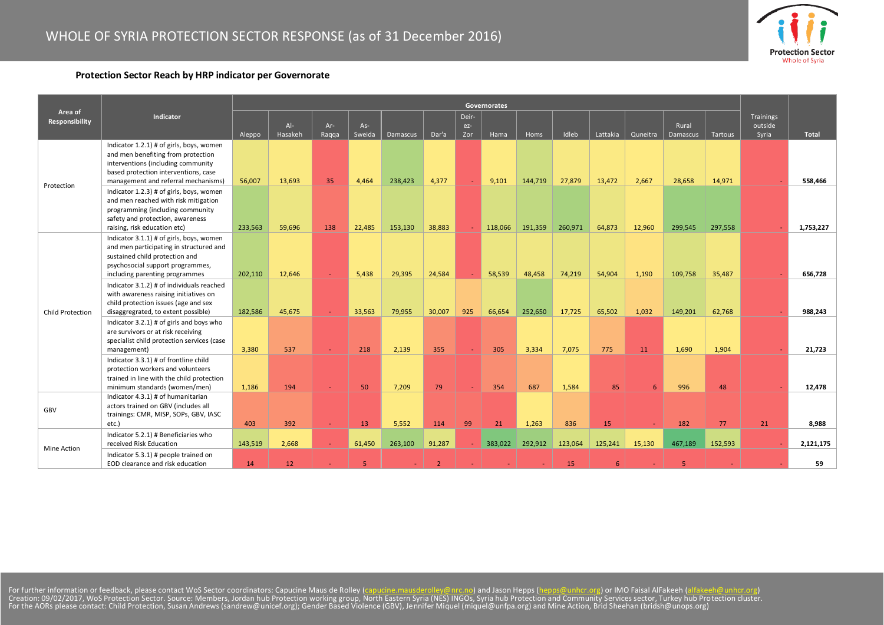

## **Protection Sector Reach by HRP indicator per Governorate**

|                           |                                                                                                                                                                                                                                                 | Governorates |                  |                |               |                 |                |                     |         |         |         |          |          |                   |         |                               |           |
|---------------------------|-------------------------------------------------------------------------------------------------------------------------------------------------------------------------------------------------------------------------------------------------|--------------|------------------|----------------|---------------|-----------------|----------------|---------------------|---------|---------|---------|----------|----------|-------------------|---------|-------------------------------|-----------|
| Area of<br>Responsibility | Indicator                                                                                                                                                                                                                                       | Aleppo       | $Al-$<br>Hasakeh | $Ar-$<br>Ragga | As-<br>Sweida | <b>Damascus</b> | Dar'a          | Deir-<br>ez-<br>Zor | Hama    | Homs    | Idleb   | Lattakia | Quneitra | Rural<br>Damascus | Tartous | Trainings<br>outside<br>Syria | Total     |
| Protection                | Indicator 1.2.1) # of girls, boys, women<br>and men benefiting from protection<br>interventions (including community<br>based protection interventions, case<br>management and referral mechanisms)<br>Indicator 1.2.3) # of girls, boys, women | 56,007       | 13,693           | 35             | 4,464         | 238,423         | 4,377          |                     | 9,101   | 144,719 | 27,879  | 13,472   | 2,667    | 28,658            | 14,971  |                               | 558,466   |
|                           | and men reached with risk mitigation<br>programming (including community<br>safety and protection, awareness<br>raising, risk education etc)                                                                                                    | 233,563      | 59,696           | 138            | 22,485        | 153,130         | 38,883         |                     | 118,066 | 191,359 | 260,971 | 64,873   | 12,960   | 299,545           | 297,558 |                               | 1,753,227 |
| Child Protection          | Indicator 3.1.1) # of girls, boys, women<br>and men participating in structured and<br>sustained child protection and<br>psychosocial support programmes,<br>including parenting programmes                                                     | 202,110      | 12,646           | $\sim$         | 5,438         | 29,395          | 24,584         |                     | 58,539  | 48,458  | 74,219  | 54,904   | 1,190    | 109,758           | 35,487  |                               | 656.728   |
|                           | Indicator 3.1.2) # of individuals reached<br>with awareness raising initiatives on<br>child protection issues (age and sex<br>disaggregrated, to extent possible)                                                                               | 182,586      | 45,675           | u.             | 33,563        | 79,955          | 30,007         | 925                 | 66,654  | 252,650 | 17,725  | 65,502   | 1,032    | 149,201           | 62,768  |                               | 988,243   |
|                           | Indicator 3.2.1) # of girls and boys who<br>are survivors or at risk receiving<br>specialist child protection services (case<br>management)                                                                                                     | 3,380        | 537              |                | 218           | 2,139           | 355            |                     | 305     | 3,334   | 7,075   | 775      | 11       | 1,690             | 1,904   |                               | 21,723    |
|                           | Indicator 3.3.1) # of frontline child<br>protection workers and volunteers<br>trained in line with the child protection<br>minimum standards (women/men)                                                                                        | 1,186        | 194              |                | 50            | 7,209           | 79             |                     | 354     | 687     | 1,584   | 85       | 6        | 996               | 48      |                               | 12,478    |
| GBV                       | Indicator 4.3.1) # of humanitarian<br>actors trained on GBV (includes all<br>trainings: CMR, MISP, SOPs, GBV, IASC<br>etc.)                                                                                                                     | 403          | 392              | $\sim$         | 13            | 5,552           | 114            | 99                  | 21      | 1,263   | 836     | 15       |          | 182               | 77      | 21                            | 8,988     |
| Mine Action               | Indicator 5.2.1) # Beneficiaries who<br>received Risk Education                                                                                                                                                                                 | 143,519      | 2,668            | $\sim$         | 61,450        | 263,100         | 91,287         |                     | 383,022 | 292,912 | 123,064 | 125,241  | 15,130   | 467,189           | 152,593 |                               | 2,121,175 |
|                           | Indicator 5.3.1) # people trained on<br>EOD clearance and risk education                                                                                                                                                                        | 14           | 12               |                | 5             |                 | $\overline{2}$ |                     |         |         | 15      | 6        |          | 5                 |         |                               | 59        |

For further information or feedback, please contact WoS Sector coordinators: Capucine Maus de Rolley (<u>capucine mausderolley@nrc.no</u>) and Jason Hepps (<u>hepps@unhcr.org</u>) or IMO Faisal AlFakeeh [\(alfakeeh@unhcr.org\)](mailto:alfakeeh@unhcr.org)<br>Creation